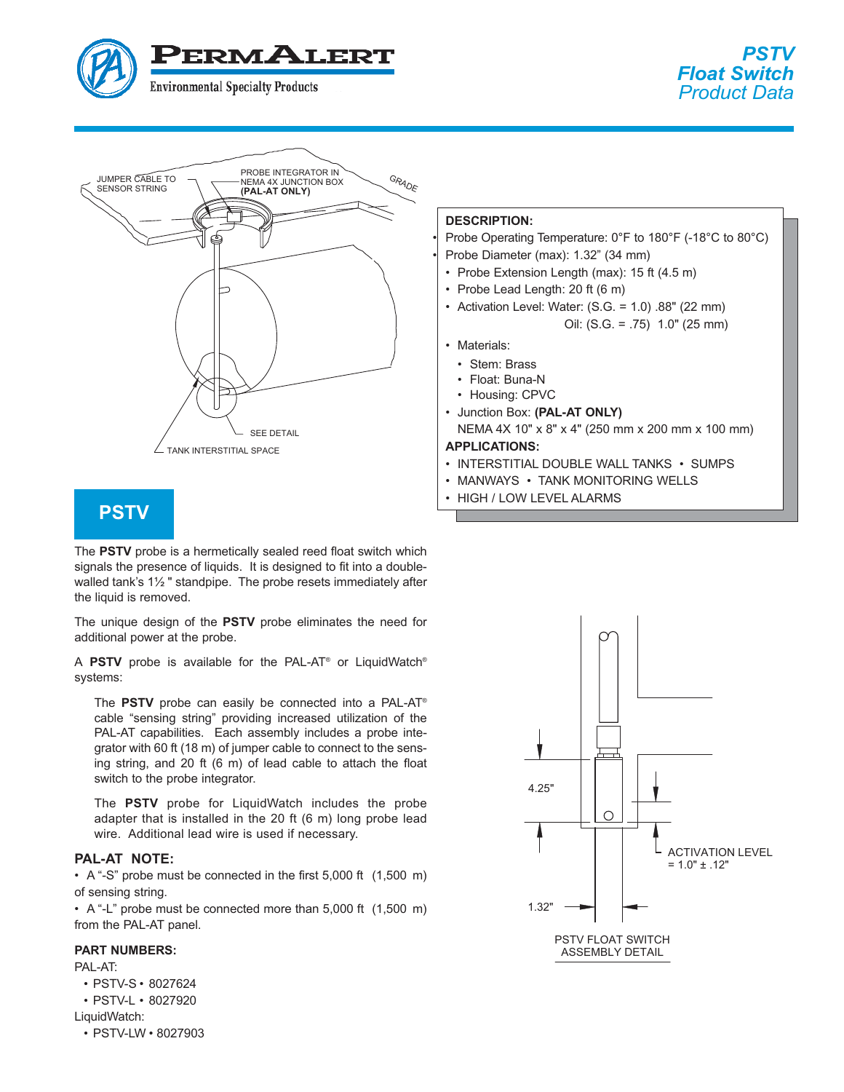



# **PSTV**

The PSTV probe is a hermetically sealed reed float switch which signals the presence of liquids. It is designed to fit into a doublewalled tank's  $1\frac{1}{2}$ " standpipe. The probe resets immediately after the liquid is removed.

The unique design of the **PSTV** probe eliminates the need for additional power at the probe.

<sup>A</sup> **PSTV** probe is available for the PAL-AT® or LiquidWatch® systems:

The PSTV probe can easily be connected into a PAL-AT<sup>®</sup> cable "sensing string" providing increased utilization of the PAL-AT capabilities. Each assembly includes a probe integrator with 60 ft (18 m) of jumper cable to connect to the sensing string, and 20 ft (6 m) of lead cable to attach the float switch to the probe integrator.

The PSTV probe for Liquid Watch includes the probe adapter that is installed in the 20 ft (6 m) long probe lead wire. Additional lead wire is used if necessary.

• A "-S" probe must be connected in the first 5,000 ft (1,500 m) of sensing string.

• A "-L" probe must be connected more than  $5,000$  ft  $(1,500 \text{ m})$ from the PAL-AT panel.

PAL-AT:

• PSTV-S • 8027624

• PSTV-L • 8027920

LiquidWatch:

• PSTV-LW • 8027903

Probe Operating Temperature: 0°F to 180°F (-18°C to 80°C)

- Probe Diameter (max): 1.32" (34 mm)
- Probe Extension Length (max): 15 ft (4.5 m)
- Probe Lead Length: 20 ft (6 m)
- Activation Level: Water: (S.G. = 1.0) .88" (22 mm) Oil: (S.G. = .75) 1.0" (25 mm)
- Materials:
	- Stem: Brass
	- Float: Buna-N
	- Housing: CPVC
- Junction Box: **(PAL-AT ONLY)** NEMA 4X 10" x 8" x 4" (250 mm x 200 mm x 100 mm)

- **· INTERSTITIAL DOUBLE WALL TANKS · SUMPS**
- MANWAYS TANK MONITORING WELLS
- HIGH / LOW LEVEL ALARMS